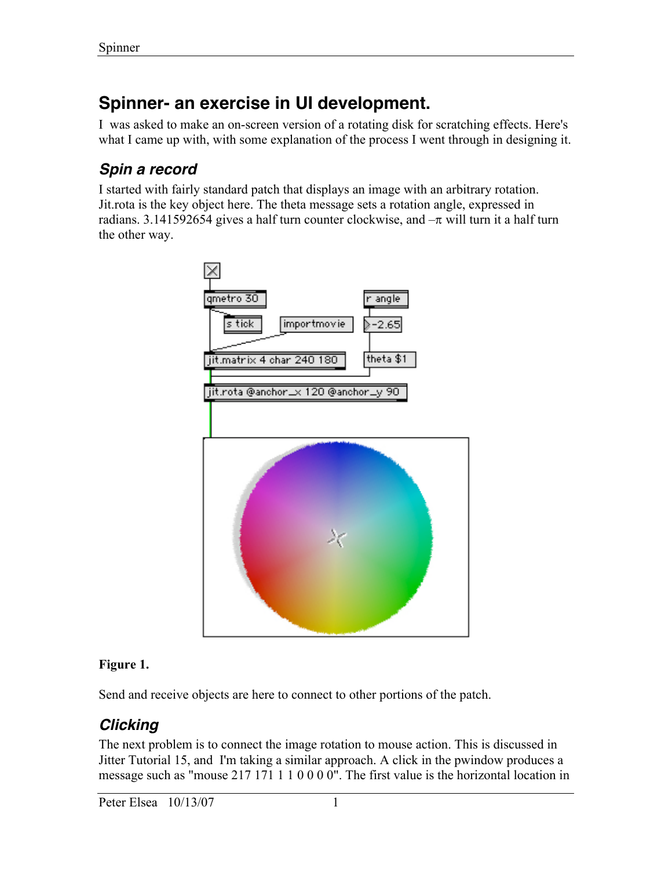# **Spinner- an exercise in UI development.**

I was asked to make an on-screen version of a rotating disk for scratching effects. Here's what I came up with, with some explanation of the process I went through in designing it.

## **Spin a record**

I started with fairly standard patch that displays an image with an arbitrary rotation. Jit.rota is the key object here. The theta message sets a rotation angle, expressed in radians. 3.141592654 gives a half turn counter clockwise, and  $-\pi$  will turn it a half turn the other way.



### Figure 1.

Send and receive objects are here to connect to other portions of the patch.

## **Clicking**

The next problem is to connect the image rotation to mouse action. This is discussed in Jitter Tutorial 15, and I'm taking a similar approach. A click in the pwindow produces a message such as "mouse 217 171 1 1 0 0 0 0". The first value is the horizontal location in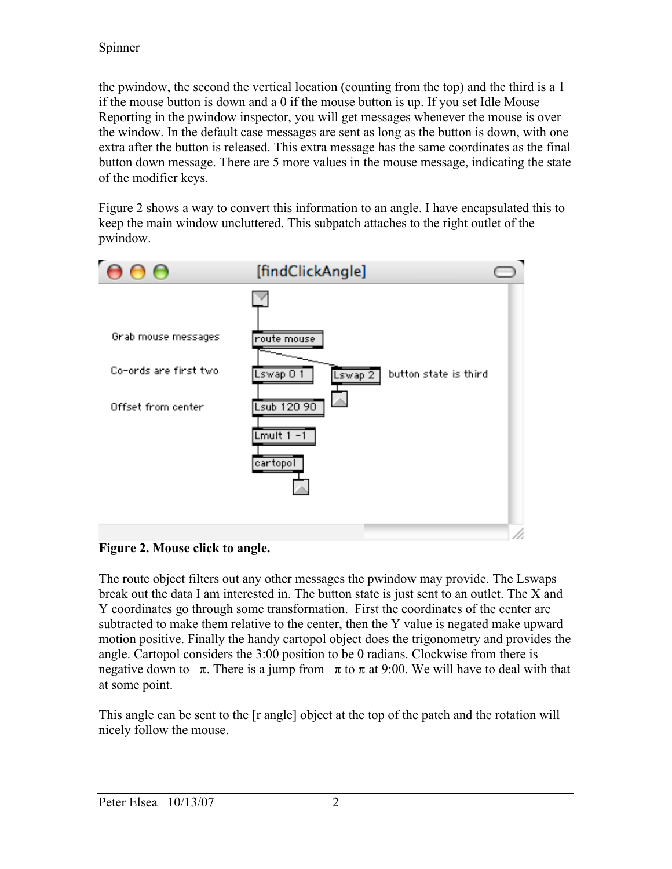the pwindow, the second the vertical location (counting from the top) and the third is a 1 if the mouse button is down and a 0 if the mouse button is up. If you set Idle Mouse Reporting in the pwindow inspector, you will get messages whenever the mouse is over the window. In the default case messages are sent as long as the button is down, with one extra after the button is released. This extra message has the same coordinates as the final button down message. There are 5 more values in the mouse message, indicating the state of the modifier keys.

Figure 2 shows a way to convert this information to an angle. I have encapsulated this to keep the main window uncluttered. This subpatch attaches to the right outlet of the pwindow.



#### Figure 2. Mouse click to angle.

The route object filters out any other messages the pwindow may provide. The Lswaps break out the data I am interested in. The button state is just sent to an outlet. The X and Y coordinates go through some transformation. First the coordinates of the center are subtracted to make them relative to the center, then the Y value is negated make upward motion positive. Finally the handy cartopol object does the trigonometry and provides the angle. Cartopol considers the 3:00 position to be 0 radians. Clockwise from there is negative down to  $-\pi$ . There is a jump from  $-\pi$  to  $\pi$  at 9:00. We will have to deal with that at some point.

This angle can be sent to the [r angle] object at the top of the patch and the rotation will nicely follow the mouse.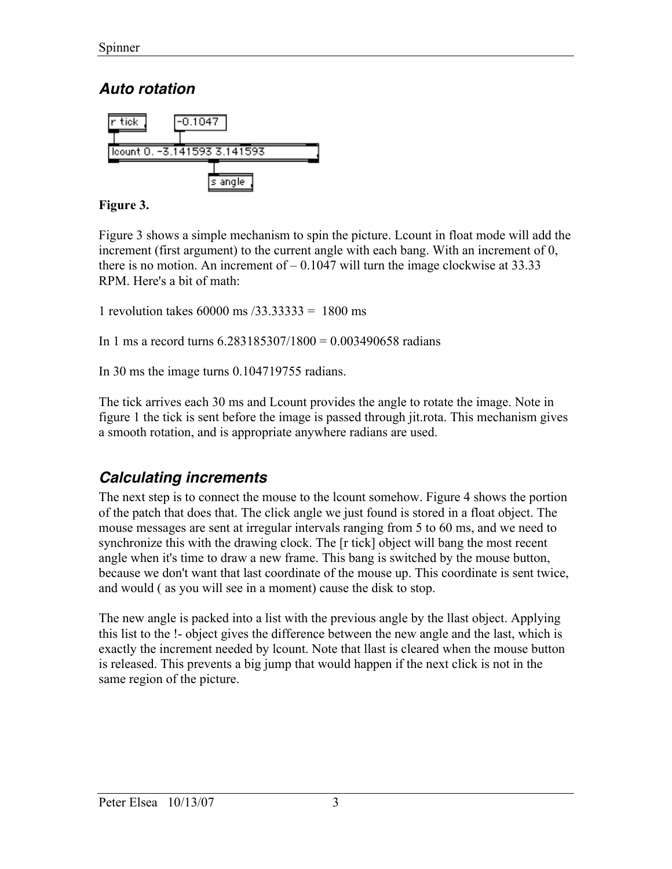## **Auto rotation**



#### Figure 3.

Figure 3 shows a simple mechanism to spin the picture. Lcount in float mode will add the increment (first argument) to the current angle with each bang. With an increment of 0, there is no motion. An increment of  $-0.1047$  will turn the image clockwise at 33.33 RPM. Here's a bit of math:

1 revolution takes 60000 ms /33.33333 = 1800 ms

In 1 ms a record turns 6.283185307/1800 = 0.003490658 radians

In 30 ms the image turns 0.104719755 radians.

The tick arrives each 30 ms and Lcount provides the angle to rotate the image. Note in figure 1 the tick is sent before the image is passed through jit.rota. This mechanism gives a smooth rotation, and is appropriate anywhere radians are used.

## **Calculating increments**

The next step is to connect the mouse to the lcount somehow. Figure 4 shows the portion of the patch that does that. The click angle we just found is stored in a float object. The mouse messages are sent at irregular intervals ranging from 5 to 60 ms, and we need to synchronize this with the drawing clock. The [r tick] object will bang the most recent angle when it's time to draw a new frame. This bang is switched by the mouse button, because we don't want that last coordinate of the mouse up. This coordinate is sent twice, and would ( as you will see in a moment) cause the disk to stop.

The new angle is packed into a list with the previous angle by the llast object. Applying this list to the !- object gives the difference between the new angle and the last, which is exactly the increment needed by lcount. Note that llast is cleared when the mouse button is released. This prevents a big jump that would happen if the next click is not in the same region of the picture.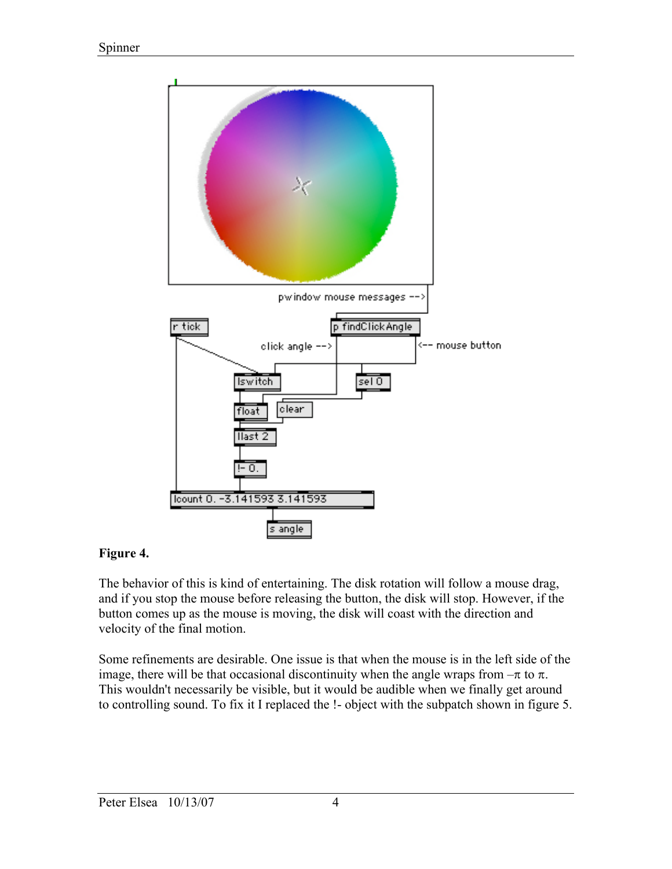

#### Figure 4.

The behavior of this is kind of entertaining. The disk rotation will follow a mouse drag, and if you stop the mouse before releasing the button, the disk will stop. However, if the button comes up as the mouse is moving, the disk will coast with the direction and velocity of the final motion.

Some refinements are desirable. One issue is that when the mouse is in the left side of the image, there will be that occasional discontinuity when the angle wraps from  $-\pi$  to  $\pi$ . This wouldn't necessarily be visible, but it would be audible when we finally get around to controlling sound. To fix it I replaced the !- object with the subpatch shown in figure 5.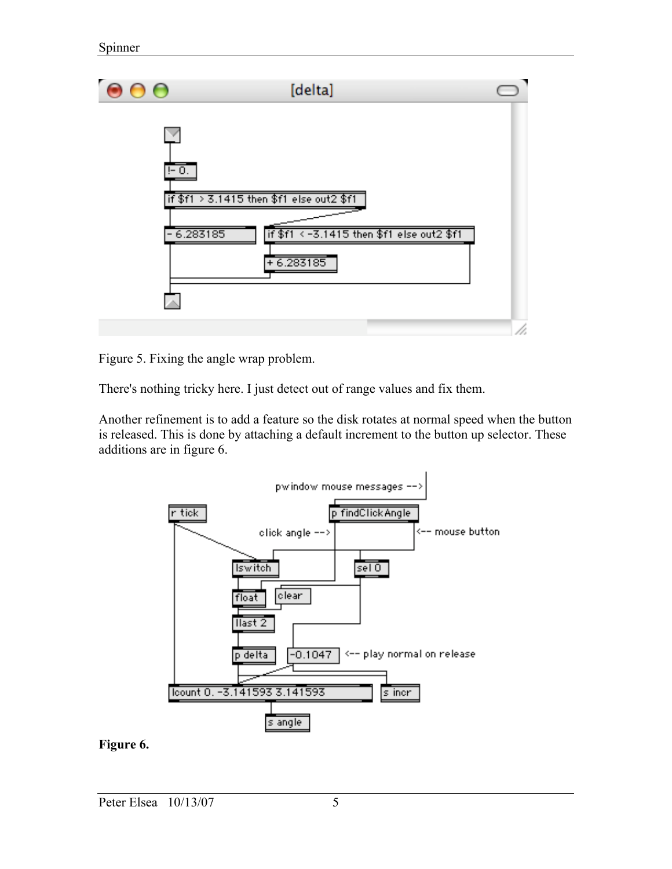

Figure 5. Fixing the angle wrap problem.

There's nothing tricky here. I just detect out of range values and fix them.

Another refinement is to add a feature so the disk rotates at normal speed when the button is released. This is done by attaching a default increment to the button up selector. These additions are in figure 6.



#### Figure 6.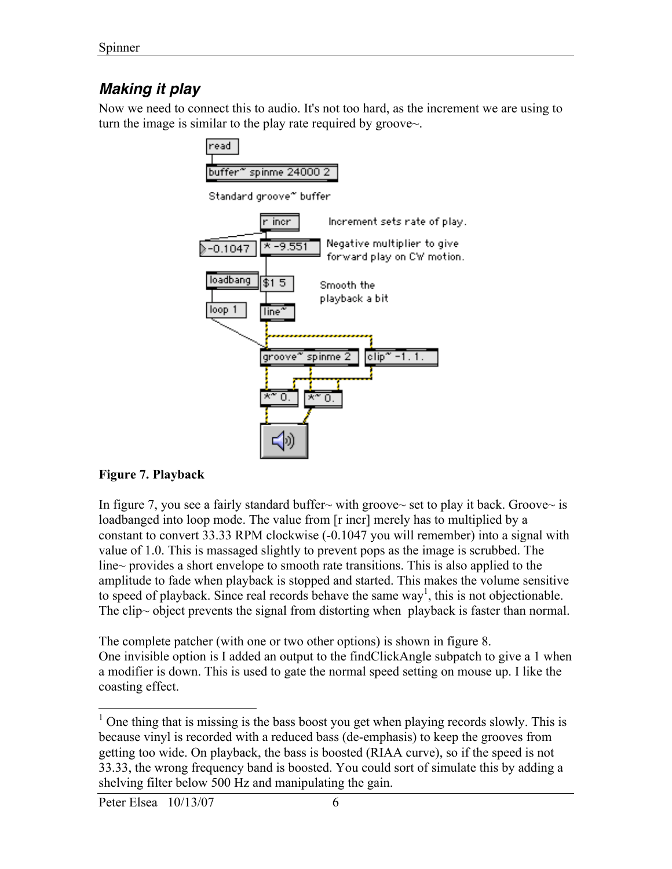# **Making it play**

Now we need to connect this to audio. It's not too hard, as the increment we are using to turn the image is similar to the play rate required by groove~.



#### Figure 7. Playback

In figure 7, you see a fairly standard buffer~ with groove~ set to play it back. Groove~ is loadbanged into loop mode. The value from [r incr] merely has to multiplied by a constant to convert 33.33 RPM clockwise (-0.1047 you will remember) into a signal with value of 1.0. This is massaged slightly to prevent pops as the image is scrubbed. The line~ provides a short envelope to smooth rate transitions. This is also applied to the amplitude to fade when playback is stopped and started. This makes the volume sensitive to speed of playback. Since real records behave the same  $way<sup>1</sup>$ , this is not objectionable. The clip $\sim$  object prevents the signal from distorting when playback is faster than normal.

The complete patcher (with one or two other options) is shown in figure 8. One invisible option is I added an output to the findClickAngle subpatch to give a 1 when a modifier is down. This is used to gate the normal speed setting on mouse up. I like the coasting effect.

 $\overline{a}$ 

 $<sup>1</sup>$  One thing that is missing is the bass boost you get when playing records slowly. This is</sup> because vinyl is recorded with a reduced bass (de-emphasis) to keep the grooves from getting too wide. On playback, the bass is boosted (RIAA curve), so if the speed is not 33.33, the wrong frequency band is boosted. You could sort of simulate this by adding a shelving filter below 500 Hz and manipulating the gain.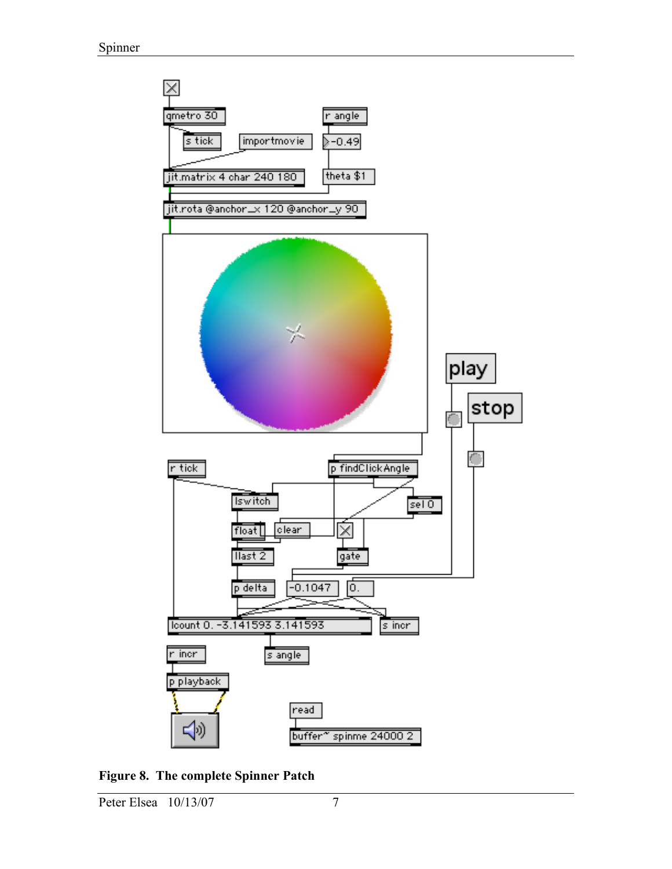

Figure 8. The complete Spinner Patch